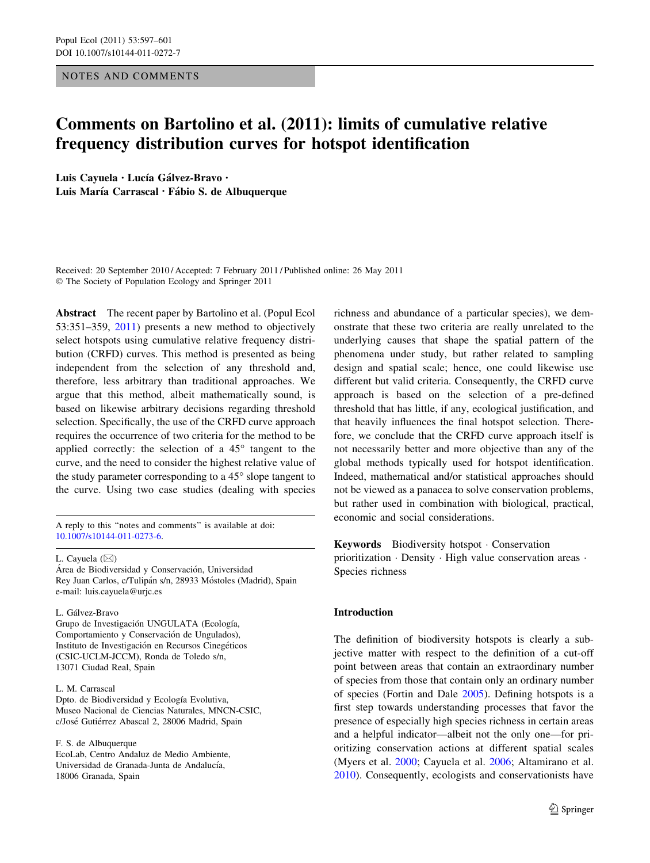## NOTES AND COMMENTS

# Comments on Bartolino et al. (2011): limits of cumulative relative frequency distribution curves for hotspot identification

Luis Cayuela · Lucía Gálvez-Bravo · Luis María Carrascal · Fábio S. de Albuquerque

Received: 20 September 2010 / Accepted: 7 February 2011 / Published online: 26 May 2011 - The Society of Population Ecology and Springer 2011

Abstract The recent paper by Bartolino et al. (Popul Ecol 53:351–359, [2011](#page-4-0)) presents a new method to objectively select hotspots using cumulative relative frequency distribution (CRFD) curves. This method is presented as being independent from the selection of any threshold and, therefore, less arbitrary than traditional approaches. We argue that this method, albeit mathematically sound, is based on likewise arbitrary decisions regarding threshold selection. Specifically, the use of the CRFD curve approach requires the occurrence of two criteria for the method to be applied correctly: the selection of a  $45^\circ$  tangent to the curve, and the need to consider the highest relative value of the study parameter corresponding to a  $45^{\circ}$  slope tangent to the curve. Using two case studies (dealing with species

A reply to this ''notes and comments'' is available at doi: [10.1007/s10144-011-0273-6.](http://dx.doi.org/10.1007/s10144-011-0273-6)

L. Cayuela  $(\boxtimes)$ 

Área de Biodiversidad y Conservación, Universidad Rey Juan Carlos, c/Tulipán s/n, 28933 Móstoles (Madrid), Spain e-mail: luis.cayuela@urjc.es

#### L. Gálvez-Bravo

Grupo de Investigación UNGULATA (Ecología, Comportamiento y Conservación de Ungulados), Instituto de Investigación en Recursos Cinegéticos (CSIC-UCLM-JCCM), Ronda de Toledo s/n, 13071 Ciudad Real, Spain

#### L. M. Carrascal

Dpto. de Biodiversidad y Ecología Evolutiva, Museo Nacional de Ciencias Naturales, MNCN-CSIC, c/José Gutiérrez Abascal 2, 28006 Madrid, Spain

F. S. de Albuquerque

EcoLab, Centro Andaluz de Medio Ambiente, Universidad de Granada-Junta de Andalucía, 18006 Granada, Spain

richness and abundance of a particular species), we demonstrate that these two criteria are really unrelated to the underlying causes that shape the spatial pattern of the phenomena under study, but rather related to sampling design and spatial scale; hence, one could likewise use different but valid criteria. Consequently, the CRFD curve approach is based on the selection of a pre-defined threshold that has little, if any, ecological justification, and that heavily influences the final hotspot selection. Therefore, we conclude that the CRFD curve approach itself is not necessarily better and more objective than any of the global methods typically used for hotspot identification. Indeed, mathematical and/or statistical approaches should not be viewed as a panacea to solve conservation problems, but rather used in combination with biological, practical, economic and social considerations.

Keywords Biodiversity hotspot - Conservation prioritization · Density · High value conservation areas · Species richness

## Introduction

The definition of biodiversity hotspots is clearly a subjective matter with respect to the definition of a cut-off point between areas that contain an extraordinary number of species from those that contain only an ordinary number of species (Fortin and Dale [2005\)](#page-4-0). Defining hotspots is a first step towards understanding processes that favor the presence of especially high species richness in certain areas and a helpful indicator—albeit not the only one—for prioritizing conservation actions at different spatial scales (Myers et al. [2000](#page-4-0); Cayuela et al. [2006;](#page-4-0) Altamirano et al. [2010](#page-4-0)). Consequently, ecologists and conservationists have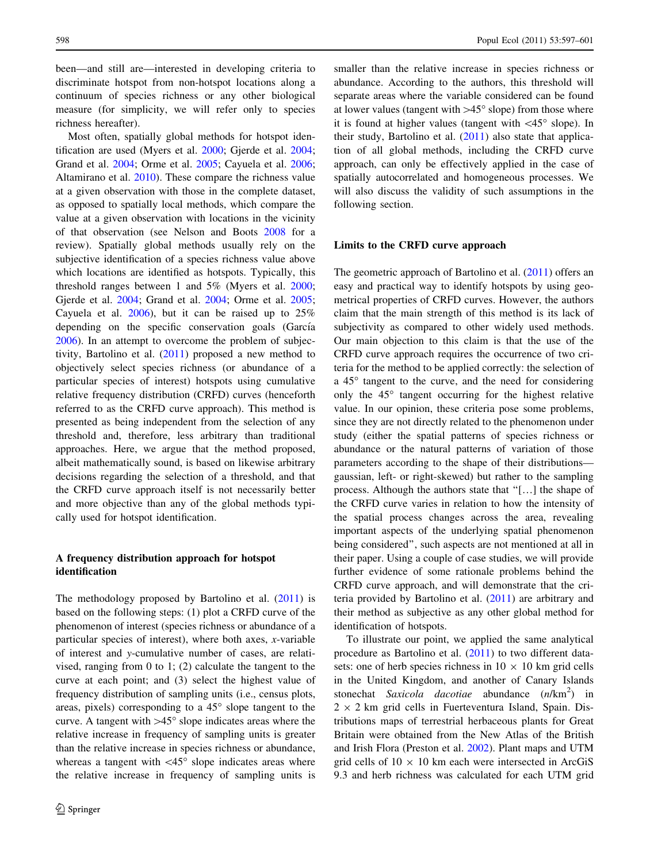been—and still are—interested in developing criteria to discriminate hotspot from non-hotspot locations along a continuum of species richness or any other biological measure (for simplicity, we will refer only to species richness hereafter).

Most often, spatially global methods for hotspot identification are used (Myers et al. [2000;](#page-4-0) Gjerde et al. [2004](#page-4-0); Grand et al. [2004](#page-4-0); Orme et al. [2005;](#page-4-0) Cayuela et al. [2006](#page-4-0); Altamirano et al. [2010\)](#page-4-0). These compare the richness value at a given observation with those in the complete dataset, as opposed to spatially local methods, which compare the value at a given observation with locations in the vicinity of that observation (see Nelson and Boots [2008](#page-4-0) for a review). Spatially global methods usually rely on the subjective identification of a species richness value above which locations are identified as hotspots. Typically, this threshold ranges between 1 and 5% (Myers et al. [2000](#page-4-0); Gjerde et al. [2004](#page-4-0); Grand et al. [2004;](#page-4-0) Orme et al. [2005](#page-4-0); Cayuela et al. [2006](#page-4-0)), but it can be raised up to 25% depending on the specific conservation goals (García [2006\)](#page-4-0). In an attempt to overcome the problem of subjectivity, Bartolino et al. ([2011\)](#page-4-0) proposed a new method to objectively select species richness (or abundance of a particular species of interest) hotspots using cumulative relative frequency distribution (CRFD) curves (henceforth referred to as the CRFD curve approach). This method is presented as being independent from the selection of any threshold and, therefore, less arbitrary than traditional approaches. Here, we argue that the method proposed, albeit mathematically sound, is based on likewise arbitrary decisions regarding the selection of a threshold, and that the CRFD curve approach itself is not necessarily better and more objective than any of the global methods typically used for hotspot identification.

## A frequency distribution approach for hotspot identification

The methodology proposed by Bartolino et al. ([2011\)](#page-4-0) is based on the following steps: (1) plot a CRFD curve of the phenomenon of interest (species richness or abundance of a particular species of interest), where both axes,  $x$ -variable of interest and y-cumulative number of cases, are relativised, ranging from 0 to 1; (2) calculate the tangent to the curve at each point; and (3) select the highest value of frequency distribution of sampling units (i.e., census plots, areas, pixels) corresponding to a  $45^{\circ}$  slope tangent to the curve. A tangent with  $>45^\circ$  slope indicates areas where the relative increase in frequency of sampling units is greater than the relative increase in species richness or abundance, whereas a tangent with  $\langle 45^\circ$  slope indicates areas where the relative increase in frequency of sampling units is

smaller than the relative increase in species richness or abundance. According to the authors, this threshold will separate areas where the variable considered can be found at lower values (tangent with  $>45^\circ$  slope) from those where it is found at higher values (tangent with  $\langle 45^\circ$  slope). In their study, Bartolino et al. ([2011\)](#page-4-0) also state that application of all global methods, including the CRFD curve approach, can only be effectively applied in the case of spatially autocorrelated and homogeneous processes. We will also discuss the validity of such assumptions in the following section.

### Limits to the CRFD curve approach

The geometric approach of Bartolino et al. [\(2011](#page-4-0)) offers an easy and practical way to identify hotspots by using geometrical properties of CRFD curves. However, the authors claim that the main strength of this method is its lack of subjectivity as compared to other widely used methods. Our main objection to this claim is that the use of the CRFD curve approach requires the occurrence of two criteria for the method to be applied correctly: the selection of a  $45^\circ$  tangent to the curve, and the need for considering only the  $45^\circ$  tangent occurring for the highest relative value. In our opinion, these criteria pose some problems, since they are not directly related to the phenomenon under study (either the spatial patterns of species richness or abundance or the natural patterns of variation of those parameters according to the shape of their distributions gaussian, left- or right-skewed) but rather to the sampling process. Although the authors state that ''[…] the shape of the CRFD curve varies in relation to how the intensity of the spatial process changes across the area, revealing important aspects of the underlying spatial phenomenon being considered'', such aspects are not mentioned at all in their paper. Using a couple of case studies, we will provide further evidence of some rationale problems behind the CRFD curve approach, and will demonstrate that the criteria provided by Bartolino et al. [\(2011](#page-4-0)) are arbitrary and their method as subjective as any other global method for identification of hotspots.

To illustrate our point, we applied the same analytical procedure as Bartolino et al. ([2011\)](#page-4-0) to two different datasets: one of herb species richness in  $10 \times 10$  km grid cells in the United Kingdom, and another of Canary Islands stonechat Saxicola dacotiae abundance  $(n/\text{km}^2)$  in  $2 \times 2$  km grid cells in Fuerteventura Island, Spain. Distributions maps of terrestrial herbaceous plants for Great Britain were obtained from the New Atlas of the British and Irish Flora (Preston et al. [2002](#page-4-0)). Plant maps and UTM grid cells of  $10 \times 10$  km each were intersected in ArcGiS 9.3 and herb richness was calculated for each UTM grid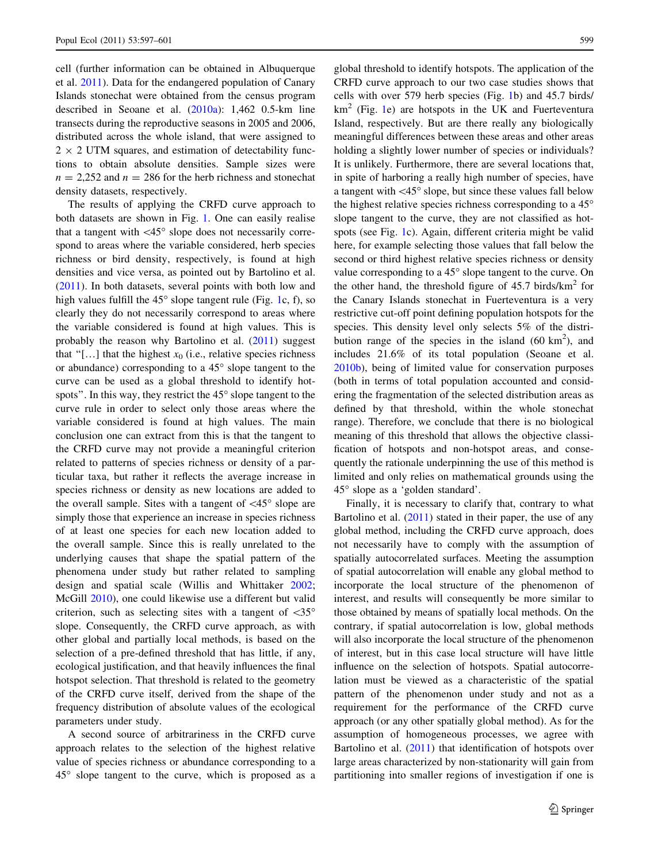cell (further information can be obtained in Albuquerque et al. [2011\)](#page-4-0). Data for the endangered population of Canary Islands stonechat were obtained from the census program described in Seoane et al. [\(2010a\)](#page-4-0): 1,462 0.5-km line transects during the reproductive seasons in 2005 and 2006, distributed across the whole island, that were assigned to  $2 \times 2$  UTM squares, and estimation of detectability functions to obtain absolute densities. Sample sizes were  $n = 2,252$  and  $n = 286$  for the herb richness and stonechat density datasets, respectively.

The results of applying the CRFD curve approach to both datasets are shown in Fig. [1.](#page-3-0) One can easily realise that a tangent with  $\langle 45^\circ$  slope does not necessarily correspond to areas where the variable considered, herb species richness or bird density, respectively, is found at high densities and vice versa, as pointed out by Bartolino et al. [\(2011](#page-4-0)). In both datasets, several points with both low and high values fulfill the  $45^\circ$  slope tangent rule (Fig. [1c](#page-3-0), f), so clearly they do not necessarily correspond to areas where the variable considered is found at high values. This is probably the reason why Bartolino et al. [\(2011](#page-4-0)) suggest that "[...] that the highest  $x_0$  (i.e., relative species richness or abundance) corresponding to a  $45^{\circ}$  slope tangent to the curve can be used as a global threshold to identify hotspots". In this way, they restrict the  $45^\circ$  slope tangent to the curve rule in order to select only those areas where the variable considered is found at high values. The main conclusion one can extract from this is that the tangent to the CRFD curve may not provide a meaningful criterion related to patterns of species richness or density of a particular taxa, but rather it reflects the average increase in species richness or density as new locations are added to the overall sample. Sites with a tangent of  $\langle 45^\circ$  slope are simply those that experience an increase in species richness of at least one species for each new location added to the overall sample. Since this is really unrelated to the underlying causes that shape the spatial pattern of the phenomena under study but rather related to sampling design and spatial scale (Willis and Whittaker [2002](#page-4-0); McGill [2010](#page-4-0)), one could likewise use a different but valid criterion, such as selecting sites with a tangent of  $\langle 35^\circ$ slope. Consequently, the CRFD curve approach, as with other global and partially local methods, is based on the selection of a pre-defined threshold that has little, if any, ecological justification, and that heavily influences the final hotspot selection. That threshold is related to the geometry of the CRFD curve itself, derived from the shape of the frequency distribution of absolute values of the ecological parameters under study.

A second source of arbitrariness in the CRFD curve approach relates to the selection of the highest relative value of species richness or abundance corresponding to a  $45^{\circ}$  slope tangent to the curve, which is proposed as a global threshold to identify hotspots. The application of the CRFD curve approach to our two case studies shows that cells with over 579 herb species (Fig. [1b](#page-3-0)) and 45.7 birds/  $km<sup>2</sup>$  (Fig. [1e](#page-3-0)) are hotspots in the UK and Fuerteventura Island, respectively. But are there really any biologically meaningful differences between these areas and other areas holding a slightly lower number of species or individuals? It is unlikely. Furthermore, there are several locations that, in spite of harboring a really high number of species, have a tangent with  $\langle 45^\circ$  slope, but since these values fall below the highest relative species richness corresponding to a 45 slope tangent to the curve, they are not classified as hotspots (see Fig. [1c](#page-3-0)). Again, different criteria might be valid here, for example selecting those values that fall below the second or third highest relative species richness or density value corresponding to a  $45^{\circ}$  slope tangent to the curve. On the other hand, the threshold figure of  $45.7$  birds/km<sup>2</sup> for the Canary Islands stonechat in Fuerteventura is a very restrictive cut-off point defining population hotspots for the species. This density level only selects 5% of the distribution range of the species in the island  $(60 \text{ km}^2)$ , and includes 21.6% of its total population (Seoane et al. [2010b](#page-4-0)), being of limited value for conservation purposes (both in terms of total population accounted and considering the fragmentation of the selected distribution areas as defined by that threshold, within the whole stonechat range). Therefore, we conclude that there is no biological meaning of this threshold that allows the objective classification of hotspots and non-hotspot areas, and consequently the rationale underpinning the use of this method is limited and only relies on mathematical grounds using the 45° slope as a 'golden standard'.

Finally, it is necessary to clarify that, contrary to what Bartolino et al. ([2011\)](#page-4-0) stated in their paper, the use of any global method, including the CRFD curve approach, does not necessarily have to comply with the assumption of spatially autocorrelated surfaces. Meeting the assumption of spatial autocorrelation will enable any global method to incorporate the local structure of the phenomenon of interest, and results will consequently be more similar to those obtained by means of spatially local methods. On the contrary, if spatial autocorrelation is low, global methods will also incorporate the local structure of the phenomenon of interest, but in this case local structure will have little influence on the selection of hotspots. Spatial autocorrelation must be viewed as a characteristic of the spatial pattern of the phenomenon under study and not as a requirement for the performance of the CRFD curve approach (or any other spatially global method). As for the assumption of homogeneous processes, we agree with Bartolino et al. [\(2011](#page-4-0)) that identification of hotspots over large areas characterized by non-stationarity will gain from partitioning into smaller regions of investigation if one is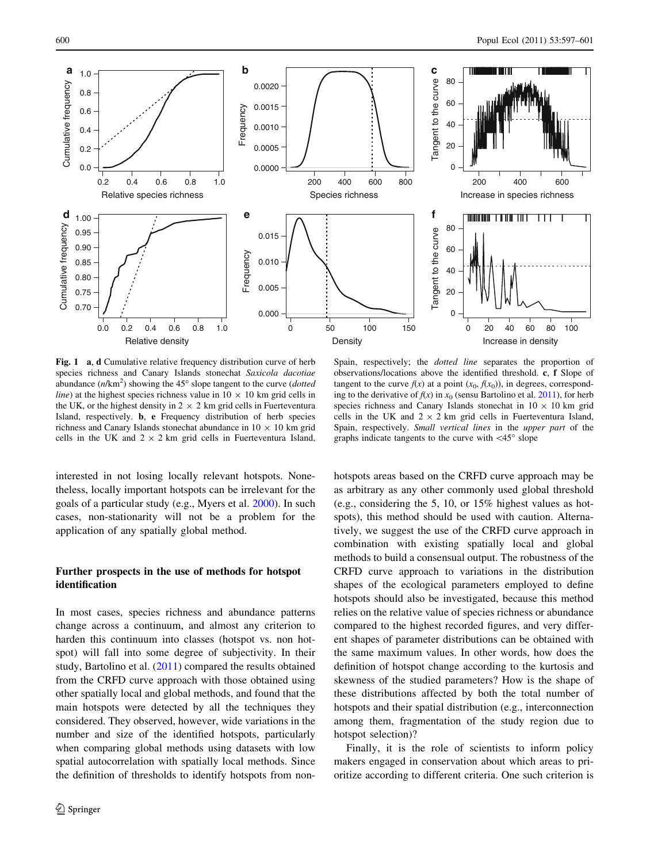<span id="page-3-0"></span>

Fig. 1 a, d Cumulative relative frequency distribution curve of herb species richness and Canary Islands stonechat Saxicola dacotiae abundance  $(n/\text{km}^2)$  showing the 45 $\degree$  slope tangent to the curve (*dotted line*) at the highest species richness value in  $10 \times 10$  km grid cells in the UK, or the highest density in  $2 \times 2$  km grid cells in Fuerteventura Island, respectively. b, e Frequency distribution of herb species richness and Canary Islands stonechat abundance in  $10 \times 10$  km grid cells in the UK and  $2 \times 2$  km grid cells in Fuerteventura Island,

Spain, respectively; the dotted line separates the proportion of observations/locations above the identified threshold. c, f Slope of tangent to the curve  $f(x)$  at a point  $(x_0, f(x_0))$ , in degrees, corresponding to the derivative of  $f(x)$  in  $x_0$  (sensu Bartolino et al. [2011](#page-4-0)), for herb species richness and Canary Islands stonechat in  $10 \times 10$  km grid cells in the UK and  $2 \times 2$  km grid cells in Fuerteventura Island, Spain, respectively. Small vertical lines in the upper part of the graphs indicate tangents to the curve with  $\langle 45^\circ$  slope

interested in not losing locally relevant hotspots. Nonetheless, locally important hotspots can be irrelevant for the goals of a particular study (e.g., Myers et al. [2000](#page-4-0)). In such cases, non-stationarity will not be a problem for the application of any spatially global method.

# Further prospects in the use of methods for hotspot identification

In most cases, species richness and abundance patterns change across a continuum, and almost any criterion to harden this continuum into classes (hotspot vs. non hotspot) will fall into some degree of subjectivity. In their study, Bartolino et al. [\(2011](#page-4-0)) compared the results obtained from the CRFD curve approach with those obtained using other spatially local and global methods, and found that the main hotspots were detected by all the techniques they considered. They observed, however, wide variations in the number and size of the identified hotspots, particularly when comparing global methods using datasets with low spatial autocorrelation with spatially local methods. Since the definition of thresholds to identify hotspots from nonhotspots areas based on the CRFD curve approach may be as arbitrary as any other commonly used global threshold (e.g., considering the 5, 10, or 15% highest values as hotspots), this method should be used with caution. Alternatively, we suggest the use of the CRFD curve approach in combination with existing spatially local and global methods to build a consensual output. The robustness of the CRFD curve approach to variations in the distribution shapes of the ecological parameters employed to define hotspots should also be investigated, because this method relies on the relative value of species richness or abundance compared to the highest recorded figures, and very different shapes of parameter distributions can be obtained with the same maximum values. In other words, how does the definition of hotspot change according to the kurtosis and skewness of the studied parameters? How is the shape of these distributions affected by both the total number of hotspots and their spatial distribution (e.g., interconnection among them, fragmentation of the study region due to hotspot selection)?

Finally, it is the role of scientists to inform policy makers engaged in conservation about which areas to prioritize according to different criteria. One such criterion is